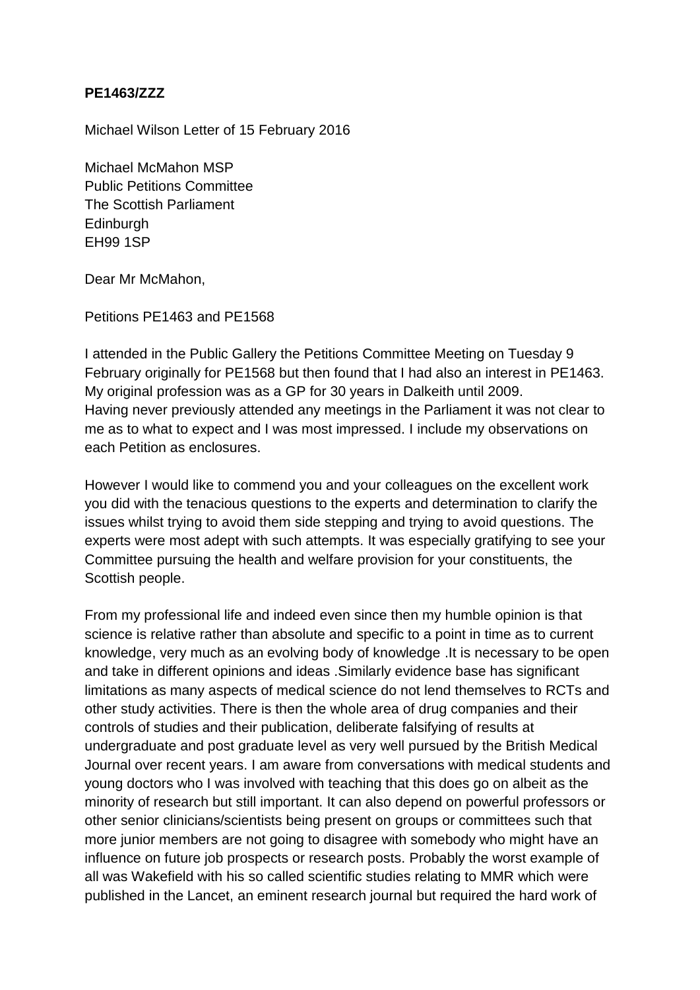## **PE1463/ZZZ**

Michael Wilson Letter of 15 February 2016

Michael McMahon MSP Public Petitions Committee The Scottish Parliament **Edinburgh** EH99 1SP

Dear Mr McMahon,

Petitions PE1463 and PE1568

I attended in the Public Gallery the Petitions Committee Meeting on Tuesday 9 February originally for PE1568 but then found that I had also an interest in PE1463. My original profession was as a GP for 30 years in Dalkeith until 2009. Having never previously attended any meetings in the Parliament it was not clear to me as to what to expect and I was most impressed. I include my observations on each Petition as enclosures.

However I would like to commend you and your colleagues on the excellent work you did with the tenacious questions to the experts and determination to clarify the issues whilst trying to avoid them side stepping and trying to avoid questions. The experts were most adept with such attempts. It was especially gratifying to see your Committee pursuing the health and welfare provision for your constituents, the Scottish people.

From my professional life and indeed even since then my humble opinion is that science is relative rather than absolute and specific to a point in time as to current knowledge, very much as an evolving body of knowledge .It is necessary to be open and take in different opinions and ideas .Similarly evidence base has significant limitations as many aspects of medical science do not lend themselves to RCTs and other study activities. There is then the whole area of drug companies and their controls of studies and their publication, deliberate falsifying of results at undergraduate and post graduate level as very well pursued by the British Medical Journal over recent years. I am aware from conversations with medical students and young doctors who I was involved with teaching that this does go on albeit as the minority of research but still important. It can also depend on powerful professors or other senior clinicians/scientists being present on groups or committees such that more junior members are not going to disagree with somebody who might have an influence on future job prospects or research posts. Probably the worst example of all was Wakefield with his so called scientific studies relating to MMR which were published in the Lancet, an eminent research journal but required the hard work of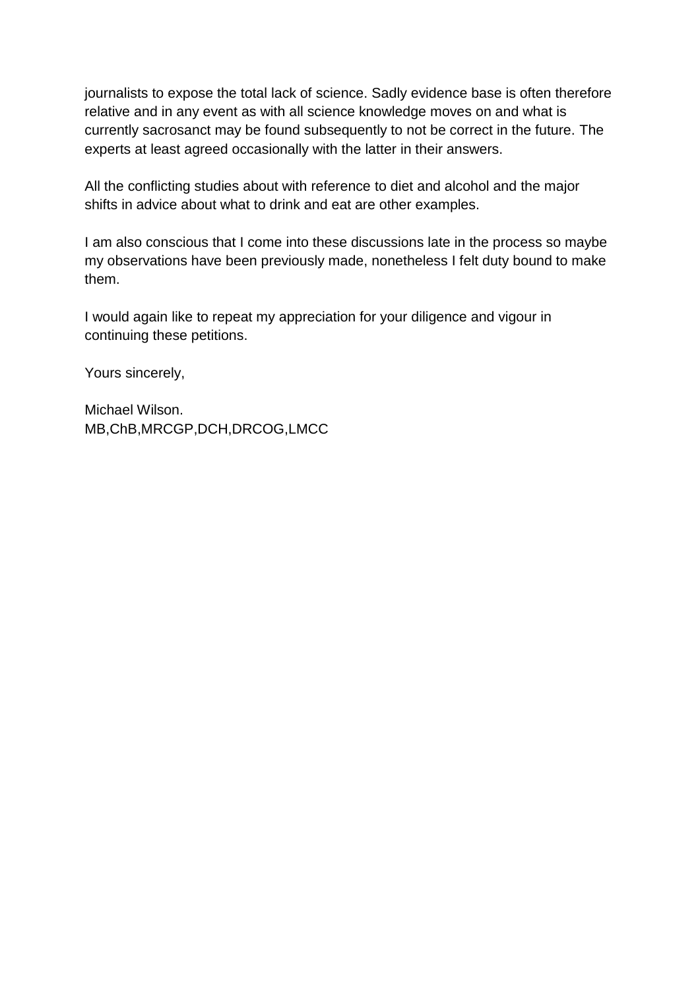journalists to expose the total lack of science. Sadly evidence base is often therefore relative and in any event as with all science knowledge moves on and what is currently sacrosanct may be found subsequently to not be correct in the future. The experts at least agreed occasionally with the latter in their answers.

All the conflicting studies about with reference to diet and alcohol and the major shifts in advice about what to drink and eat are other examples.

I am also conscious that I come into these discussions late in the process so maybe my observations have been previously made, nonetheless I felt duty bound to make them.

I would again like to repeat my appreciation for your diligence and vigour in continuing these petitions.

Yours sincerely,

Michael Wilson. MB,ChB,MRCGP,DCH,DRCOG,LMCC